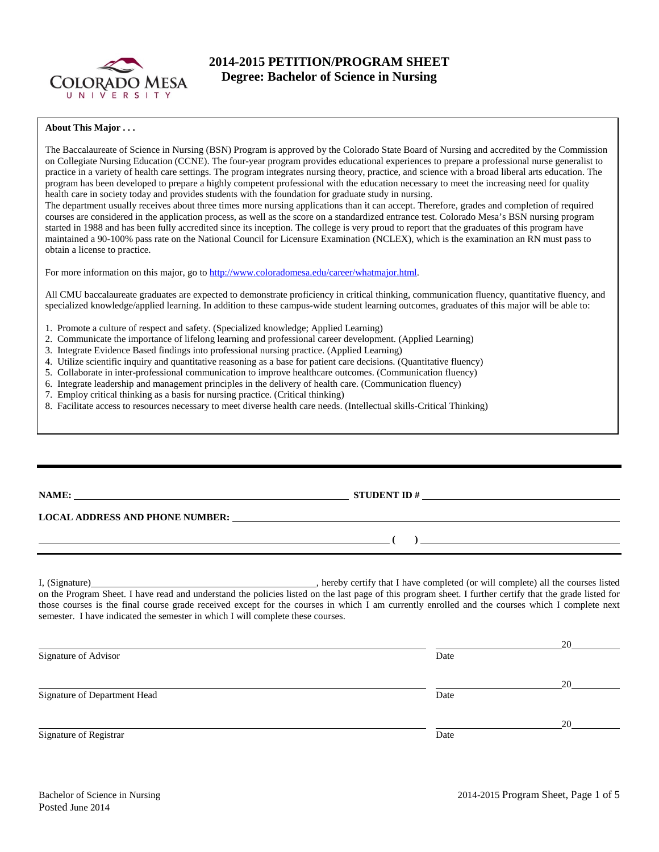

# **2014-2015 PETITION/PROGRAM SHEET Degree: Bachelor of Science in Nursing**

#### **About This Major . . .**

The Baccalaureate of Science in Nursing (BSN) Program is approved by the Colorado State Board of Nursing and accredited by the Commission on Collegiate Nursing Education (CCNE). The four-year program provides educational experiences to prepare a professional nurse generalist to practice in a variety of health care settings. The program integrates nursing theory, practice, and science with a broad liberal arts education. The program has been developed to prepare a highly competent professional with the education necessary to meet the increasing need for quality health care in society today and provides students with the foundation for graduate study in nursing.

The department usually receives about three times more nursing applications than it can accept. Therefore, grades and completion of required courses are considered in the application process, as well as the score on a standardized entrance test. Colorado Mesa's BSN nursing program started in 1988 and has been fully accredited since its inception. The college is very proud to report that the graduates of this program have maintained a 90-100% pass rate on the National Council for Licensure Examination (NCLEX), which is the examination an RN must pass to obtain a license to practice.

For more information on this major, go to [http://www.coloradomesa.edu/career/whatmajor.html.](http://www.coloradomesa.edu/career/whatmajor.html)

All CMU baccalaureate graduates are expected to demonstrate proficiency in critical thinking, communication fluency, quantitative fluency, and specialized knowledge/applied learning. In addition to these campus-wide student learning outcomes, graduates of this major will be able to:

- 1. Promote a culture of respect and safety. (Specialized knowledge; Applied Learning)
- 2. Communicate the importance of lifelong learning and professional career development. (Applied Learning)
- 3. Integrate Evidence Based findings into professional nursing practice. (Applied Learning)
- 4. Utilize scientific inquiry and quantitative reasoning as a base for patient care decisions. (Quantitative fluency)
- 5. Collaborate in inter-professional communication to improve healthcare outcomes. (Communication fluency)
- 6. Integrate leadership and management principles in the delivery of health care. (Communication fluency)
- 7. Employ critical thinking as a basis for nursing practice. (Critical thinking)
- 8. Facilitate access to resources necessary to meet diverse health care needs. (Intellectual skills-Critical Thinking)

| NAME:                                  | <b>STUDENT ID#</b> |  |
|----------------------------------------|--------------------|--|
| <b>LOCAL ADDRESS AND PHONE NUMBER:</b> |                    |  |
|                                        |                    |  |

I, (Signature) , hereby certify that I have completed (or will complete) all the courses listed on the Program Sheet. I have read and understand the policies listed on the last page of this program sheet. I further certify that the grade listed for those courses is the final course grade received except for the courses in which I am currently enrolled and the courses which I complete next semester. I have indicated the semester in which I will complete these courses.

|                              |      | 20 |
|------------------------------|------|----|
| Signature of Advisor         | Date |    |
|                              |      | 20 |
| Signature of Department Head | Date |    |
|                              |      | 20 |
| Signature of Registrar       | Date |    |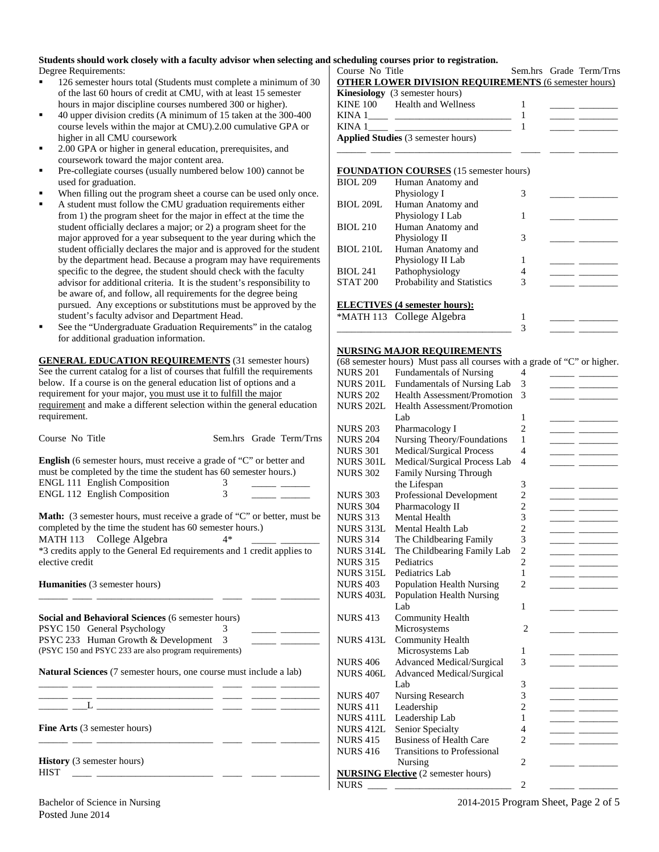# **Students should work closely with a faculty advisor when selecting and scheduling courses prior to registration.**<br>
Degree Requirements: <br>
Course No Title

Degree Requirements:

- <sup>126</sup> semester hours total (Students must complete a minimum of 30 of the last 60 hours of credit at CMU, with at least 15 semester hours in major discipline courses numbered 300 or higher).
- 40 upper division credits (A minimum of 15 taken at the 300-400 course levels within the major at CMU).2.00 cumulative GPA or higher in all CMU coursework
- 2.00 GPA or higher in general education, prerequisites, and coursework toward the major content area.
- Pre-collegiate courses (usually numbered below 100) cannot be used for graduation.
- When filling out the program sheet a course can be used only once.
- A student must follow the CMU graduation requirements either from 1) the program sheet for the major in effect at the time the student officially declares a major; or 2) a program sheet for the major approved for a year subsequent to the year during which the student officially declares the major and is approved for the student by the department head. Because a program may have requirements specific to the degree, the student should check with the faculty advisor for additional criteria. It is the student's responsibility to be aware of, and follow, all requirements for the degree being pursued. Any exceptions or substitutions must be approved by the student's faculty advisor and Department Head.
- See the "Undergraduate Graduation Requirements" in the catalog for additional graduation information.

**GENERAL EDUCATION REQUIREMENTS** (31 semester hours) See the current catalog for a list of courses that fulfill the requirements below. If a course is on the general education list of options and a requirement for your major, you must use it to fulfill the major requirement and make a different selection within the general education requirement.

| Course No Title                                                                                                                                                                                                                      |      |  | Sem.hrs Grade Term/Trns |  |  |  |  |
|--------------------------------------------------------------------------------------------------------------------------------------------------------------------------------------------------------------------------------------|------|--|-------------------------|--|--|--|--|
| <b>English</b> (6 semester hours, must receive a grade of "C" or better and<br>must be completed by the time the student has 60 semester hours.)                                                                                     |      |  |                         |  |  |  |  |
| ENGL 111 English Composition                                                                                                                                                                                                         | 3    |  |                         |  |  |  |  |
| ENGL 112 English Composition                                                                                                                                                                                                         | 3    |  |                         |  |  |  |  |
| Math: (3 semester hours, must receive a grade of "C" or better, must be<br>completed by the time the student has 60 semester hours.)                                                                                                 |      |  |                         |  |  |  |  |
| MATH 113 College Algebra                                                                                                                                                                                                             | $4*$ |  |                         |  |  |  |  |
| *3 credits apply to the General Ed requirements and 1 credit applies to<br>elective credit                                                                                                                                           |      |  |                         |  |  |  |  |
| <b>Humanities</b> (3 semester hours)                                                                                                                                                                                                 |      |  |                         |  |  |  |  |
| <b>Social and Behavioral Sciences (6 semester hours)</b><br>PSYC 150 General Psychology<br>PSYC 233 Human Growth & Development 3<br>(PSYC 150 and PSYC 233 are also program requirements)                                            | 3    |  |                         |  |  |  |  |
| Natural Sciences (7 semester hours, one course must include a lab)                                                                                                                                                                   |      |  |                         |  |  |  |  |
| <u> 1989 - Johann John Harry Harry Harry Harry Harry Harry Harry Harry Harry Harry Harry Harry Harry Harry Harry Harry Harry Harry Harry Harry Harry Harry Harry Harry Harry Harry Harry Harry Harry Harry Harry Harry Harry Har</u> |      |  |                         |  |  |  |  |
|                                                                                                                                                                                                                                      |      |  |                         |  |  |  |  |
|                                                                                                                                                                                                                                      |      |  |                         |  |  |  |  |
| <b>Fine Arts</b> (3 semester hours)                                                                                                                                                                                                  |      |  |                         |  |  |  |  |
| <b>History</b> (3 semester hours)<br><b>HIST</b>                                                                                                                                                                                     |      |  |                         |  |  |  |  |
|                                                                                                                                                                                                                                      |      |  |                         |  |  |  |  |

#### Sem.hrs Grade Term/Trns **OTHER LOWER DIVISION REQUIREMENTS** (6 semester hours)

|        | <b>Kinesiology</b> (3 semester hours)     |  |  |
|--------|-------------------------------------------|--|--|
|        | KINE 100 Health and Wellness              |  |  |
| KINA 1 |                                           |  |  |
| KINA 1 |                                           |  |  |
|        | <b>Applied Studies</b> (3 semester hours) |  |  |
|        |                                           |  |  |

#### **FOUNDATION COURSES** (15 semester hours)

| <b>BIOL 209</b>  | Human Anatomy and                    |   |  |
|------------------|--------------------------------------|---|--|
|                  | Physiology I                         | 3 |  |
| <b>BIOL 209L</b> | Human Anatomy and                    |   |  |
|                  | Physiology I Lab                     |   |  |
| <b>BIOL 210</b>  | Human Anatomy and                    |   |  |
|                  | Physiology II                        | 3 |  |
| <b>BIOL 210L</b> | Human Anatomy and                    |   |  |
|                  | Physiology II Lab                    |   |  |
| <b>BIOL 241</b>  | Pathophysiology                      | 4 |  |
| <b>STAT 200</b>  | Probability and Statistics           | 3 |  |
|                  |                                      |   |  |
|                  | <b>ELECTIVES</b> (4 semester hours): |   |  |

#### **ELECTIVES (4 semester hours):**

| *MATH 113 College Algebra |  |  |
|---------------------------|--|--|
|                           |  |  |

### **NURSING MAJOR REQUIREMENTS**

|                  | (68 semester hours) Must pass all courses with a grade of "C" or higher. |                |                                                 |
|------------------|--------------------------------------------------------------------------|----------------|-------------------------------------------------|
| <b>NURS 201</b>  | <b>Fundamentals of Nursing</b>                                           | 4              |                                                 |
| <b>NURS 201L</b> | Fundamentals of Nursing Lab                                              | 3              |                                                 |
| <b>NURS 202</b>  | <b>Health Assessment/Promotion</b>                                       | 3              |                                                 |
| <b>NURS 202L</b> | <b>Health Assessment/Promotion</b>                                       |                |                                                 |
|                  | Lab                                                                      | 1              |                                                 |
| <b>NURS 203</b>  | Pharmacology I                                                           | $\overline{2}$ |                                                 |
| <b>NURS 204</b>  | Nursing Theory/Foundations                                               | 1              |                                                 |
| <b>NURS 301</b>  | Medical/Surgical Process                                                 | 4              |                                                 |
| <b>NURS 301L</b> | Medical/Surgical Process Lab                                             | 4              |                                                 |
| <b>NURS 302</b>  | <b>Family Nursing Through</b>                                            |                |                                                 |
|                  | the Lifespan                                                             | 3              |                                                 |
| <b>NURS 303</b>  | Professional Development                                                 | $\overline{2}$ |                                                 |
| <b>NURS 304</b>  | Pharmacology II                                                          | $\overline{2}$ |                                                 |
| <b>NURS 313</b>  | Mental Health                                                            | 3              |                                                 |
| NURS 313L        | Mental Health Lab                                                        | $\overline{c}$ |                                                 |
| <b>NURS 314</b>  | The Childbearing Family                                                  | 3              | $\overline{a}$ . The contract of $\overline{a}$ |
| <b>NURS 314L</b> | The Childbearing Family Lab                                              | $\overline{2}$ |                                                 |
| <b>NURS 315</b>  | Pediatrics                                                               | $\overline{2}$ |                                                 |
| <b>NURS 315L</b> | Pediatrics Lab                                                           | 1              |                                                 |
| <b>NURS 403</b>  | <b>Population Health Nursing</b>                                         | $\overline{2}$ |                                                 |
| <b>NURS 403L</b> | <b>Population Health Nursing</b>                                         |                |                                                 |
|                  | Lab                                                                      | 1              |                                                 |
| <b>NURS 413</b>  | <b>Community Health</b>                                                  |                |                                                 |
|                  | Microsystems                                                             | 2              |                                                 |
| <b>NURS 413L</b> | <b>Community Health</b>                                                  |                |                                                 |
|                  | Microsystems Lab                                                         | 1              |                                                 |
| <b>NURS 406</b>  | <b>Advanced Medical/Surgical</b>                                         | 3              |                                                 |
| <b>NURS 406L</b> | <b>Advanced Medical/Surgical</b>                                         |                |                                                 |
|                  | Lab                                                                      | 3              |                                                 |
| <b>NURS 407</b>  | Nursing Research                                                         | 3              |                                                 |
| <b>NURS 411</b>  | Leadership                                                               | $\overline{2}$ |                                                 |
| <b>NURS 411L</b> | Leadership Lab                                                           | 1              |                                                 |
| <b>NURS 412L</b> | Senior Specialty                                                         | 4              |                                                 |
| <b>NURS 415</b>  | <b>Business of Health Care</b>                                           | $\overline{2}$ |                                                 |
| <b>NURS 416</b>  | <b>Transitions to Professional</b>                                       |                |                                                 |
|                  | Nursing                                                                  | 2              |                                                 |
|                  | <b>NURSING Elective</b> (2 semester hours)                               |                |                                                 |
| <b>NURS</b>      |                                                                          | $\overline{c}$ |                                                 |
|                  |                                                                          |                |                                                 |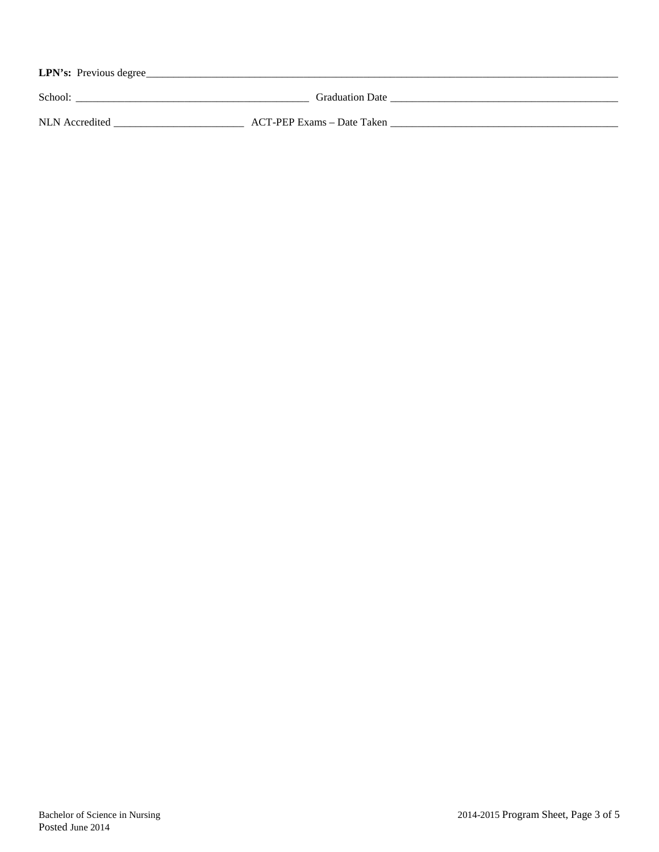| LPN's: Previous degree |                            |  |
|------------------------|----------------------------|--|
| School:                | <b>Graduation Date</b>     |  |
| NLN Accredited         | ACT-PEP Exams – Date Taken |  |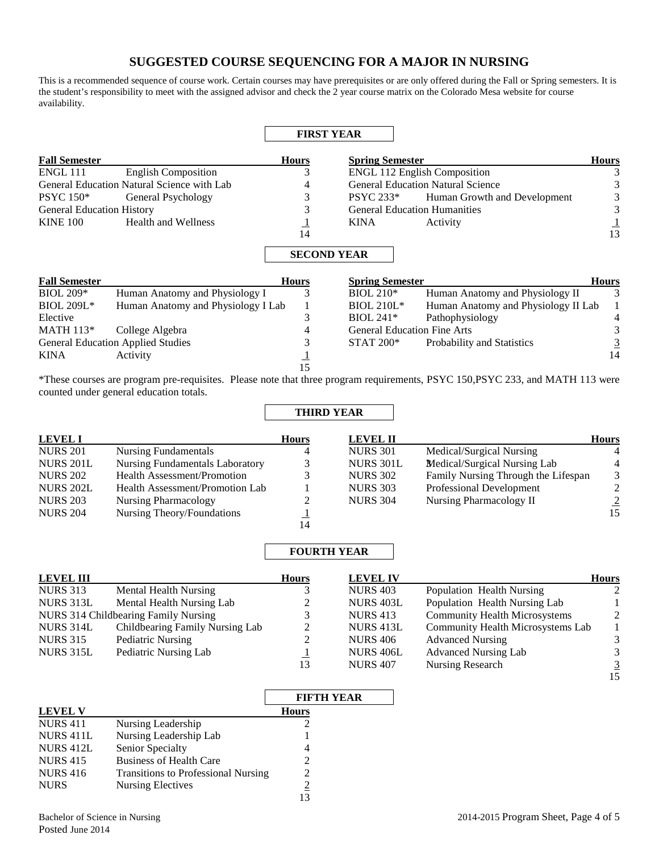# **SUGGESTED COURSE SEQUENCING FOR A MAJOR IN NURSING**

This is a recommended sequence of course work. Certain courses may have prerequisites or are only offered during the Fall or Spring semesters. It is the student's responsibility to meet with the assigned advisor and check the 2 year course matrix on the Colorado Mesa website for course availability.

|                                  |                                            | <b>FIRST YEAR</b>                  |                                    |                                          |                |
|----------------------------------|--------------------------------------------|------------------------------------|------------------------------------|------------------------------------------|----------------|
| <b>Fall Semester</b>             |                                            | <b>Hours</b>                       | <b>Spring Semester</b>             |                                          | <b>Hours</b>   |
| <b>ENGL 111</b>                  | <b>English Composition</b>                 | 3                                  |                                    | <b>ENGL 112 English Composition</b>      |                |
|                                  | General Education Natural Science with Lab | 4                                  |                                    | <b>General Education Natural Science</b> |                |
| <b>PSYC</b> 150*                 | General Psychology                         | 3                                  | <b>PSYC 233*</b>                   | Human Growth and Development             |                |
| <b>General Education History</b> |                                            |                                    |                                    | <b>General Education Humanities</b>      | 3              |
| <b>KINE 100</b>                  | <b>Health and Wellness</b>                 | $\perp$                            | <b>KINA</b>                        | Activity                                 |                |
|                                  |                                            | 14                                 |                                    |                                          | $\frac{1}{13}$ |
| <b>Fall Semester</b>             |                                            | <b>SECOND YEAR</b><br><b>Hours</b> | <b>Spring Semester</b>             |                                          | <b>Hours</b>   |
| <b>BIOL 209*</b>                 | Human Anatomy and Physiology I             | 3                                  | $BIOL 210*$                        | Human Anatomy and Physiology II          | 3              |
| <b>BIOL 209L*</b>                | Human Anatomy and Physiology I Lab         | 1                                  | <b>BIOL 210L*</b>                  | Human Anatomy and Physiology II Lab      |                |
| Elective                         |                                            | 3                                  | $BIOL 241*$                        | Pathophysiology                          |                |
| <b>MATH 113*</b>                 | College Algebra                            | 4                                  | <b>General Education Fine Arts</b> |                                          | 3              |
|                                  | <b>General Education Applied Studies</b>   | 3                                  | $STAT 200*$                        | Probability and Statistics               | $\overline{3}$ |
| <b>KINA</b>                      | Activity                                   |                                    |                                    |                                          | 14             |
|                                  |                                            | 15                                 |                                    |                                          |                |

\*These courses are program pre-requisites. Please note that three program requirements, PSYC 150,PSYC 233, and MATH 113 were counted under general education totals.

**THIRD YEAR**

| <b>LEVEL I</b>   |                                        | <b>Hours</b> | <b>LEVEL II</b>  |                                     | <b>Hours</b>   |
|------------------|----------------------------------------|--------------|------------------|-------------------------------------|----------------|
| <b>NURS 201</b>  | <b>Nursing Fundamentals</b>            | 4            | <b>NURS 301</b>  | Medical/Surgical Nursing            | 4              |
| <b>NURS 201L</b> | <b>Nursing Fundamentals Laboratory</b> |              | <b>NURS 301L</b> | Medical/Surgical Nursing Lab        | 4              |
| <b>NURS 202</b>  | <b>Health Assessment/Promotion</b>     |              | <b>NURS 302</b>  | Family Nursing Through the Lifespan | 3              |
| <b>NURS 202L</b> | Health Assessment/Promotion Lab        |              | <b>NURS 303</b>  | Professional Development            | $\mathfrak{D}$ |
| <b>NURS 203</b>  | <b>Nursing Pharmacology</b>            |              | <b>NURS 304</b>  | Nursing Pharmacology II             | $\overline{2}$ |
| <b>NURS 204</b>  | Nursing Theory/Foundations             |              |                  |                                     | 15             |
|                  |                                        | 14           |                  |                                     |                |

## **FOURTH YEAR**

| <b>LEVEL III</b> |                                      | <b>Hours</b> | <b>LEVEL IV</b>  |                                      | <b>Hours</b>   |
|------------------|--------------------------------------|--------------|------------------|--------------------------------------|----------------|
| <b>NURS 313</b>  | Mental Health Nursing                |              | <b>NURS 403</b>  | Population Health Nursing            | 2              |
| NURS 313L        | Mental Health Nursing Lab            |              | NURS 403L        | Population Health Nursing Lab        |                |
|                  | NURS 314 Childbearing Family Nursing |              | <b>NURS</b> 413  | <b>Community Health Microsystems</b> | 2              |
| NURS 314L        | Childbearing Family Nursing Lab      | 2            | NURS 413L        | Community Health Microsystems Lab    |                |
| <b>NURS 315</b>  | Pediatric Nursing                    |              | <b>NURS 406</b>  | <b>Advanced Nursing</b>              | 3              |
| NURS 315L        | Pediatric Nursing Lab                |              | <b>NURS 406L</b> | <b>Advanced Nursing Lab</b>          | 3              |
|                  |                                      | 13           | <b>NURS 407</b>  | Nursing Research                     | $\overline{3}$ |
|                  |                                      |              |                  |                                      | 15             |

|                 |                                            | <b>FIFTH YEAR</b> |
|-----------------|--------------------------------------------|-------------------|
| <b>LEVEL V</b>  |                                            | <b>Hours</b>      |
| <b>NURS 411</b> | Nursing Leadership                         |                   |
| NURS 411L       | Nursing Leadership Lab                     |                   |
| NURS 412L       | Senior Specialty                           | Δ                 |
| <b>NURS 415</b> | <b>Business of Health Care</b>             |                   |
| <b>NURS 416</b> | <b>Transitions to Professional Nursing</b> |                   |
| <b>NURS</b>     | <b>Nursing Electives</b>                   |                   |
|                 |                                            |                   |